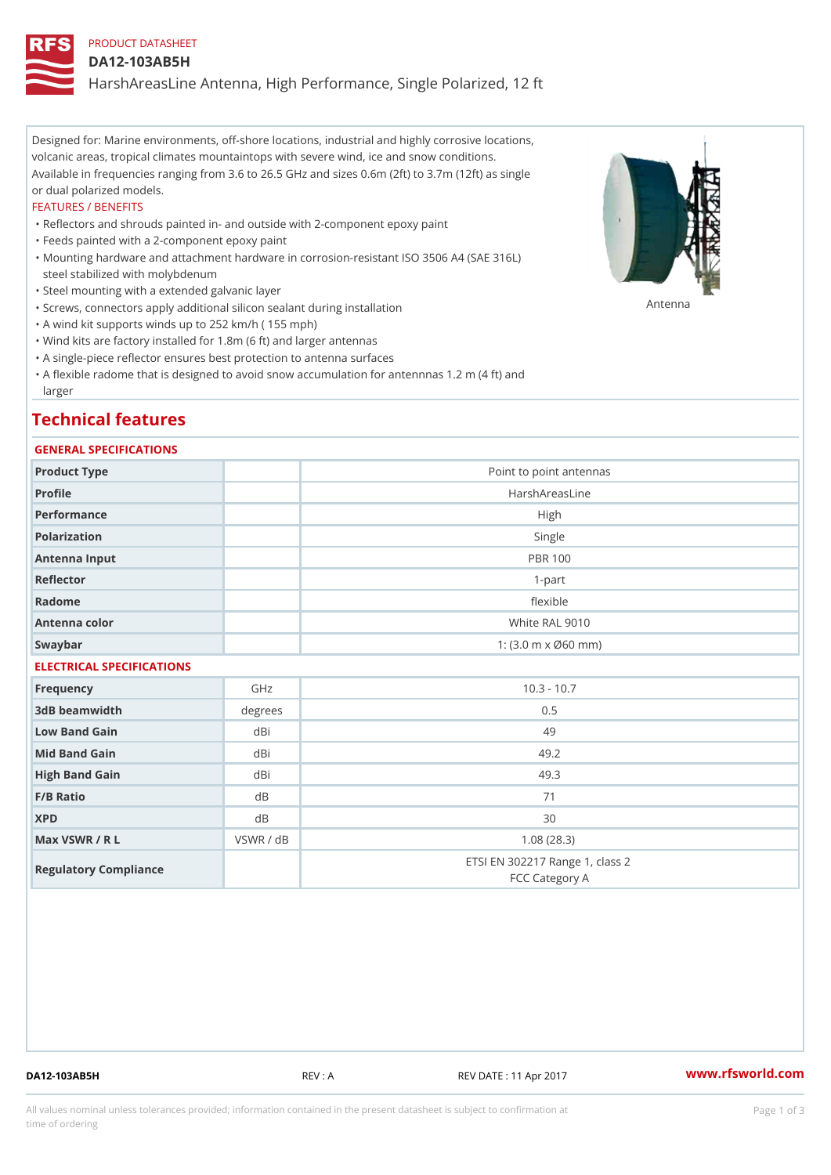## PRODUCT DATASHEET

#### DA12-103AB5H

HarshAreasLine Antenna, High Performance, Single Polarized, 12 ft

Designed for: Marine environments, off-shore locations, industrial and highly corrosive locations, volcanic areas, tropical climates mountaintops with severe wind, ice and snow conditions. Available in frequencies ranging from 3.6 to 26.5 GHz and sizes 0.6m (2ft) to 3.7m (12ft) as single or dual polarized models.

#### FEATURES / BENEFITS

"Reflectors and shrouds painted in- and outside with 2-component epoxy paint

- "Feeds painted with a 2-component epoxy paint
- Mounting hardware and attachment hardware in corrosion-resistant ISO 3506 A4 (SAE 316L) " steel stabilized with molybdenum
- "Steel mounting with a extended galvanic layer
- "Screws, connectors apply additional silicon sealant during installation Antenna
- "A wind kit supports winds up to 252 km/h ( 155 mph)
- "Wind kits are factory installed for 1.8m (6 ft) and larger antennas
- "A single-piece reflector ensures best protection to antenna surfaces
- "A flexible radome that is designed to avoid snow accumulation for antennnas 1.2 m (4 ft) and larger

## Technical features

#### GENERAL SPECIFICATIONS

| Product Type              |                | Point to point antennas                                 |  |  |  |
|---------------------------|----------------|---------------------------------------------------------|--|--|--|
| Profile                   |                | HarshAreasLine                                          |  |  |  |
| Performance               |                | High                                                    |  |  |  |
| Polarization              |                | Single                                                  |  |  |  |
| Antenna Input             |                | <b>PBR 100</b>                                          |  |  |  |
| Reflector                 |                | $1 - p$ art                                             |  |  |  |
| Radome                    |                | flexible                                                |  |  |  |
| Antenna color             | White RAL 9010 |                                                         |  |  |  |
| Swaybar                   |                | 1: $(3.0 \, \text{m} \times \emptyset 60 \, \text{mm})$ |  |  |  |
| ELECTRICAL SPECIFICATIONS |                |                                                         |  |  |  |
| Frequency                 | GHz            | $10.3 - 10.7$                                           |  |  |  |
| 3dB beamwidth             | degrees        | 0.5                                                     |  |  |  |
| Low Band Gain             | dBi            | 49                                                      |  |  |  |
| Mid Band Gain             | dBi            | 49.2                                                    |  |  |  |
| High Band Gain            | dBi            | 49.3                                                    |  |  |  |
| $F/B$ Ratio               | d B            | 71                                                      |  |  |  |
| <b>XPD</b>                | d B            | 30                                                      |  |  |  |
| Max VSWR / R L            | VSWR / dB      | 1.08(28.3)                                              |  |  |  |
| Regulatory Compliance     |                | ETSI EN 302217 Range 1, class 2<br>FCC Category A       |  |  |  |

DA12-103AB5H REV : A REV DATE : 11 Apr 2017 [www.](https://www.rfsworld.com)rfsworld.com

All values nominal unless tolerances provided; information contained in the present datasheet is subject to Pcapgeign mation time of ordering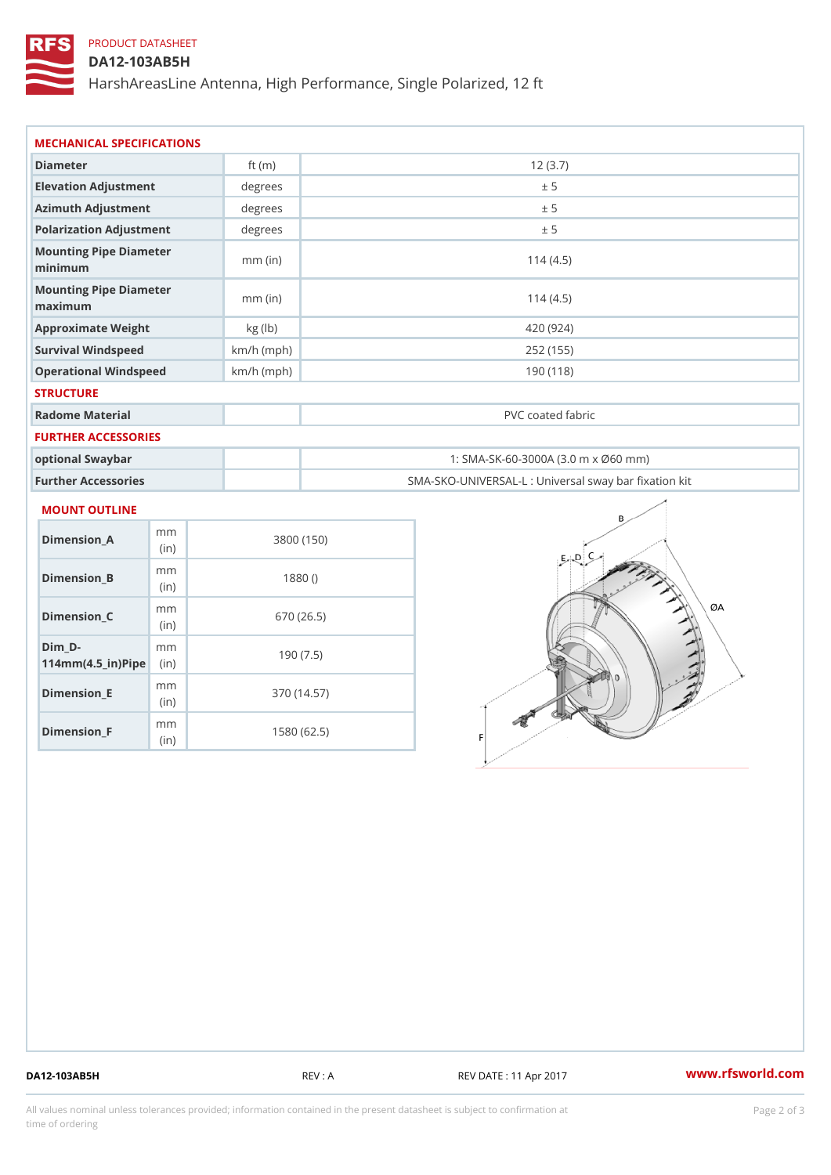# PRODUCT DATASHEET

## DA12-103AB5H

HarshAreasLine Antenna, High Performance, Single Polarized, 12 ft

| Diameter                          |              | 12(3.7)                                           |
|-----------------------------------|--------------|---------------------------------------------------|
|                                   | ft $(m)$     |                                                   |
| Elevation Adjustment              | degree       | ± 5                                               |
| Azimuth Adjustment                | degree       | ± 5                                               |
| Polarization Adjustment           | degrees      | ± 5                                               |
| Mounting Pipe Diameter<br>minima  | $mm$ (in)    | 114(4.5)                                          |
| Mounting Pipe Diameter<br>maximum | $mm$ (in)    | 114(4.5)                                          |
| Approximate Weight                | kg(lb)       | 420 (924)                                         |
| Survival Windspeed                | $km/h$ (mph) | 252 (155)                                         |
| Operational Windspeed             | $km/h$ (mph) | 190 (118)                                         |
| <b>STRUCTURE</b>                  |              |                                                   |
| Radome Material                   |              | PVC coated fabric                                 |
| FURTHER ACCESSORIES               |              |                                                   |
| optional Swaybar                  |              | 1: SMA-SK-60-3000A (3.0 m x Ø60 mm)               |
| Further Accessories               |              | SMA-SKO-UNIVERSAL-L : Universal sway bar fixation |

#### MOUNT OUTLINE

| Dimension A                       | m m<br>(in)              | 3800 (150)  |
|-----------------------------------|--------------------------|-------------|
| Dimension_B                       | m m<br>(i <sub>n</sub> ) | 1880()      |
| Dimension C                       | m m<br>(i <sub>n</sub> ) | 670 (26.5)  |
| Dim D-<br>$114mm(4.5_{ir})$ $Rip$ | m m                      | 190(7.5)    |
| Dimension E                       | m m<br>(in)              | 370 (14.57) |
| Dimension F                       | m m<br>(i n              | 1580 (62.5) |

DA12-103AB5H REV : A REV DATE : 11 Apr 2017 [www.](https://www.rfsworld.com)rfsworld.com